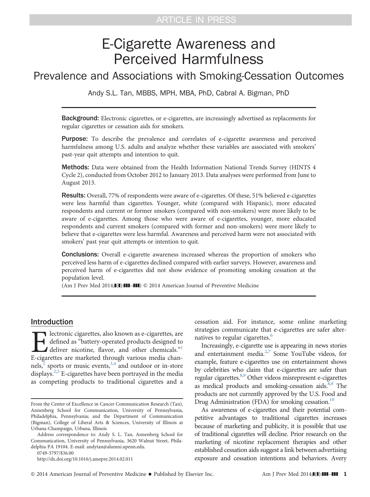# E-Cigarette Awareness and Perceived Harmfulness

## Prevalence and Associations with Smoking-Cessation Outcomes

Andy S.L. Tan, MBBS, MPH, MBA, PhD, Cabral A. Bigman, PhD

**Background:** Electronic cigarettes, or e-cigarettes, are increasingly advertised as replacements for regular cigarettes or cessation aids for smokers.

Purpose: To describe the prevalence and correlates of e-cigarette awareness and perceived harmfulness among U.S. adults and analyze whether these variables are associated with smokers' past-year quit attempts and intention to quit.

Methods: Data were obtained from the Health Information National Trends Survey (HINTS 4 Cycle 2), conducted from October 2012 to January 2013. Data analyses were performed from June to August 2013.

Results: Overall, 77% of respondents were aware of e-cigarettes. Of these, 51% believed e-cigarettes were less harmful than cigarettes. Younger, white (compared with Hispanic), more educated respondents and current or former smokers (compared with non-smokers) were more likely to be aware of e-cigarettes. Among those who were aware of e-cigarettes, younger, more educated respondents and current smokers (compared with former and non-smokers) were more likely to believe that e-cigarettes were less harmful. Awareness and perceived harm were not associated with smokers' past year quit attempts or intention to quit.

**Conclusions:** Overall e-cigarette awareness increased whereas the proportion of smokers who perceived less harm of e-cigarettes declined compared with earlier surveys. However, awareness and perceived harm of e-cigarettes did not show evidence of promoting smoking cessation at the population level.

(Am J Prev Med 2014;  $(I):III$ – $III$ ) © 2014 American Journal of Preventive Medicine

## Introduction

**Electronic cigarettes, also known as e-cigarettes, are defined as "battery-operated products designed to deliver nicotine, flavor, and other chemicals."<sup>1</sup><br>E-cigarettes are marketed through various media chan**defined as "battery-operated products designed to deliver nicotine, flavor, and other chemicals."<sup>1</sup> E-cigarettes are marketed through various media channels, $\overline{2}$  $\overline{2}$  $\overline{2}$  sports or music events,  $3,4$  and outdoor or in-store displays.<sup>[2,5](#page-7-0)</sup> E-cigarettes have been portrayed in the media as competing products to traditional cigarettes and a

[0749-3797/\\$36.00](mailto:andytan@alumni.upenn.edu)

[http://dx.doi.org/10.1016/j.amepre.2014.02.011](dx.doi.org/10.1016/j.amepre.2014.02.011)

cessation aid. For instance, some online marketing strategies communicate that e-cigarettes are safer alter-natives to regular cigarettes.<sup>[6](#page-7-0)</sup>

Increasingly, e-cigarette use is appearing in news stories and entertainment media. $2.7$  Some YouTube videos, for example, feature e-cigarettes use on entertainment shows by celebrities who claim that e-cigarettes are safer than regular cigarettes.<sup>[8,9](#page-7-0)</sup> Other videos misrepresent e-cigarettes as medical products and smoking-cessation aids.<sup>8,9</sup> The products are not currently approved by the U.S. Food and Drug Administration (FDA) for smoking cessation.<sup>10</sup>

As awareness of e-cigarettes and their potential competitive advantages to traditional cigarettes increases because of marketing and publicity, it is possible that use of traditional cigarettes will decline. Prior research on the marketing of nicotine replacement therapies and other established cessation aids suggest a link between advertising exposure and cessation intentions and behaviors. Avery

From the Center of Excellence in Cancer Communication Research (Tan), Annenberg School for Communication, University of Pennsylvania, Philadelphia, Pennsylvania; and the Department of Communication (Bigman), College of Liberal Arts & Sciences, University of Illinois at Urbana-Champaign, Urbana, Illinois

Address correspondence to: Andy S. L. Tan, Annenberg School for Communication, University of Pennsylvania, 3620 Walnut Street, Philadelphia PA 19104. E-mail: [andytan@alumni.upenn.edu.](mailto:andytan@alumni.upenn.edu)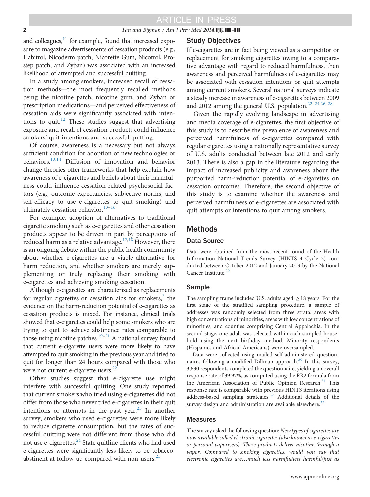#### 2 Tan and Bigman / Am J Prev Med 2014; $\mathbb{I}(\mathbb{I})$ : $\mathbb{I}\mathbb{I}=\mathbb{I}\mathbb{I}$

and colleagues, $^{11}$  for example, found that increased exposure to magazine advertisements of cessation products (e.g., Habitrol, Nicoderm patch, Nicorette Gum, Nicotrol, Prostep patch, and Zyban) was associated with an increased likelihood of attempted and successful quitting.

In a study among smokers, increased recall of cessation methods—the most frequently recalled methods being the nicotine patch, nicotine gum, and Zyban or prescription medications—and perceived effectiveness of cessation aids were significantly associated with intentions to quit.<sup>12</sup> These studies suggest that advertising exposure and recall of cessation products could influence smokers' quit intentions and successful quitting.

Of course, awareness is a necessary but not always sufficient condition for adoption of new technologies or behaviors.<sup>13,[14](#page-7-0)</sup> Diffusion of innovation and behavior change theories offer frameworks that help explain how awareness of e-cigarettes and beliefs about their harmfulness could influence cessation-related psychosocial factors (e.g., outcome expectancies, subjective norms, and self-efficacy to use e-cigarettes to quit smoking) and ultimately cessation behavior. $13-16$  $13-16$  $13-16$ 

For example, adoption of alternatives to traditional cigarette smoking such as e-cigarettes and other cessation products appear to be driven in part by perceptions of reduced harm as a relative advantage.<sup>[17](#page-8-0),[18](#page-8-0)</sup> However, there is an ongoing debate within the public health community about whether e-cigarettes are a viable alternative for harm reduction, and whether smokers are merely supplementing or truly replacing their smoking with e-cigarettes and achieving smoking cessation.

Although e-cigarettes are characterized as replacements for regular cigarettes or cessation aids for smokers, $2$  the evidence on the harm-reduction potential of e-cigarettes as cessation products is mixed. For instance, clinical trials showed that e-cigarettes could help some smokers who are trying to quit to achieve abstinence rates comparable to those using nicotine patches.<sup>[19](#page-8-0)–[21](#page-8-0)</sup> A national survey found that current e-cigarette users were more likely to have attempted to quit smoking in the previous year and tried to quit for longer than 24 hours compared with those who were not current e-cigarette users. $^{22}$ 

Other studies suggest that e-cigarette use might interfere with successful quitting. One study reported that current smokers who tried using e-cigarettes did not differ from those who never tried e-cigarettes in their quit intentions or attempts in the past year. $23$  In another survey, smokers who used e-cigarettes were more likely to reduce cigarette consumption, but the rates of successful quitting were not different from those who did not use e-cigarettes.<sup>[24](#page-8-0)</sup> State quitline clients who had used e-cigarettes were significantly less likely to be tobaccoabstinent at follow-up compared with non-users. $^{25}$  $^{25}$  $^{25}$ 

### Study Objectives

If e-cigarettes are in fact being viewed as a competitor or replacement for smoking cigarettes owing to a comparative advantage with regard to reduced harmfulness, then awareness and perceived harmfulness of e-cigarettes may be associated with cessation intentions or quit attempts among current smokers. Several national surveys indicate a steady increase in awareness of e-cigarettes between 2009 and 2012 among the general U.S. population[.22](#page-8-0)–[24,26](#page-8-0)–[28](#page-8-0)

Given the rapidly evolving landscape in advertising and media coverage of e-cigarettes, the first objective of this study is to describe the prevalence of awareness and perceived harmfulness of e-cigarettes compared with regular cigarettes using a nationally representative survey of U.S. adults conducted between late 2012 and early 2013. There is also a gap in the literature regarding the impact of increased publicity and awareness about the purported harm-reduction potential of e-cigarettes on cessation outcomes. Therefore, the second objective of this study is to examine whether the awareness and perceived harmfulness of e-cigarettes are associated with quit attempts or intentions to quit among smokers.

## Methods

#### Data Source

Data were obtained from the most recent round of the Health Information National Trends Survey (HINTS 4 Cycle 2) conducted between October 2012 and January 2013 by the National Cancer Institute.<sup>[29](#page-8-0)</sup>

## Sample

The sampling frame included U.S. adults aged  $\geq$  18 years. For the first stage of the stratified sampling procedure, a sample of addresses was randomly selected from three strata: areas with high concentrations of minorities, areas with low concentrations of minorities, and counties comprising Central Appalachia. In the second stage, one adult was selected within each sampled household using the next birthday method. Minority respondents (Hispanics and African Americans) were oversampled.

Data were collected using mailed self-administered question-naires following a modified Dillman approach.<sup>[30](#page-8-0)</sup> In this survey, 3,630 respondents completed the questionnaire, yielding an overall response rate of 39.97%, as computed using the RR2 formula from the American Association of Public Opinion Research.<sup>[31](#page-8-0)</sup> This response rate is comparable with previous HINTS iterations using address-based sampling strategies.<sup>[32](#page-8-0)</sup> Additional details of the survey design and administration are available elsewhere. $33$ 

#### **Measures**

The survey asked the following question: New types of cigarettes are now available called electronic cigarettes (also known as e-cigarettes or personal vaporizers). These products deliver nicotine through a vapor. Compared to smoking cigarettes, would you say that electronic cigarettes are…much less harmful/less harmful/just as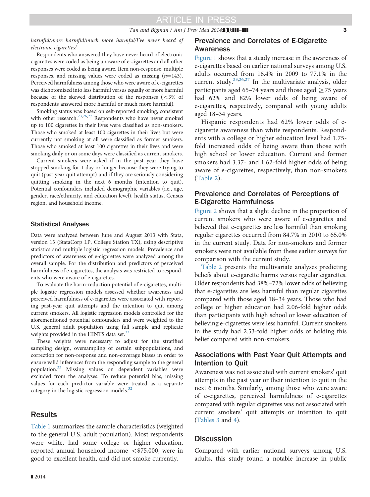## Tan and Bigman / Am J Prev Med 2014; $I(I):III-III$  3

#### harmful/more harmful/much more harmful/I've never heard of electronic cigarettes?

## Prevalence and Correlates of E-Cigarette Awareness

Respondents who answered they have never heard of electronic cigarettes were coded as being unaware of e-cigarettes and all other responses were coded as being aware. Item non-response, multiple responses, and missing values were coded as missing  $(n=143)$ . Perceived harmfulness among those who were aware of e-cigarettes was dichotomized into less harmful versus equally or more harmful because of the skewed distribution of the responses  $\leq 3\%$  of respondents answered more harmful or much more harmful).

Smoking status was based on self-reported smoking, consistent with other research. $23,26,27$  Respondents who have never smoked up to 100 cigarettes in their lives were classified as non-smokers. Those who smoked at least 100 cigarettes in their lives but were currently not smoking at all were classified as former smokers. Those who smoked at least 100 cigarettes in their lives and were smoking daily or on some days were classified as current smokers.

Current smokers were asked if in the past year they have stopped smoking for 1 day or longer because they were trying to quit (past year quit attempt) and if they are seriously considering quitting smoking in the next 6 months (intention to quit). Potential confounders included demographic variables (i.e., age, gender, race/ethnicity, and education level), health status, Census region, and household income.

## Statistical Analyses

Data were analyzed between June and August 2013 with Stata, version 13 (StataCorp LP, College Station TX), using descriptive statistics and multiple logistic regression models. Prevalence and predictors of awareness of e-cigarettes were analyzed among the overall sample. For the distribution and predictors of perceived harmfulness of e-cigarettes, the analysis was restricted to respondents who were aware of e-cigarettes.

To evaluate the harm-reduction potential of e-cigarettes, multiple logistic regression models assessed whether awareness and perceived harmfulness of e-cigarettes were associated with reporting past-year quit attempts and the intention to quit among current smokers. All logistic regression models controlled for the aforementioned potential confounders and were weighted to the U.S. general adult population using full sample and replicate weights provided in the HINTS data set.<sup>[33](#page-8-0)</sup>

These weights were necessary to adjust for the stratified sampling design, oversampling of certain subpopulations, and correction for non-response and non-coverage biases in order to ensure valid inferences from the responding sample to the general population.<sup>33</sup> Missing values on dependent variables were excluded from the analyses. To reduce potential bias, missing values for each predictor variable were treated as a separate category in the logistic regression models.<sup>[32](#page-8-0)</sup>

## Results

[Table 1](#page-3-0) summarizes the sample characteristics (weighted to the general U.S. adult population). Most respondents were white, had some college or higher education, reported annual household income  $<$  \$75,000, were in good to excellent health, and did not smoke currently.

[Figure 1](#page-4-0) shows that a steady increase in the awareness of e-cigarettes based on earlier national surveys among U.S. adults occurred from 16.4% in 2009 to 77.1% in the current study. $23,26,27$  In the multivariate analysis, older participants aged 65–74 years and those aged  $\geq$  75 years had 62% and 82% lower odds of being aware of e-cigarettes, respectively, compared with young adults aged 18–34 years.

Hispanic respondents had 62% lower odds of ecigarette awareness than white respondents. Respondents with a college or higher education level had 1.75 fold increased odds of being aware than those with high school or lower education. Current and former smokers had 3.37- and 1.62-fold higher odds of being aware of e-cigarettes, respectively, than non-smokers ([Table 2](#page-5-0)).

## Prevalence and Correlates of Perceptions of E-Cigarette Harmfulness

[Figure 2](#page-6-0) shows that a slight decline in the proportion of current smokers who were aware of e-cigarettes and believed that e-cigarettes are less harmful than smoking regular cigarettes occurred from 84.7% in 2010 to 65.0% in the current study. Data for non-smokers and former smokers were not available from these earlier surveys for comparison with the current study.

[Table 2](#page-5-0) presents the multivariate analyses predicting beliefs about e-cigarette harms versus regular cigarettes. Older respondents had 38%–72% lower odds of believing that e-cigarettes are less harmful than regular cigarettes compared with those aged 18–34 years. Those who had college or higher education had 2.06-fold higher odds than participants with high school or lower education of believing e-cigarettes were less harmful. Current smokers in the study had 2.53-fold higher odds of holding this belief compared with non-smokers.

## Associations with Past Year Quit Attempts and Intention to Quit

Awareness was not associated with current smokers' quit attempts in the past year or their intention to quit in the next 6 months. Similarly, among those who were aware of e-cigarettes, perceived harmfulness of e-cigarettes compared with regular cigarettes was not associated with current smokers' quit attempts or intention to quit ([Tables 3](#page-7-0) and [4\)](#page-7-0).

## **Discussion**

Compared with earlier national surveys among U.S. adults, this study found a notable increase in public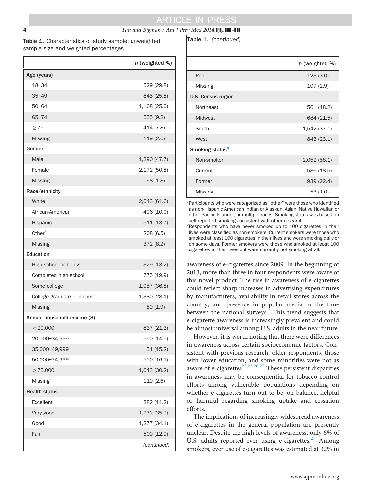## <span id="page-3-0"></span>Table 1. Characteristics of study sample: unweighted sample size and weighted percentages

|                              | n (weighted %) |
|------------------------------|----------------|
| Age (years)                  |                |
| $18 - 34$                    | 529 (29.8)     |
| $35 - 49$                    | 845 (25.8)     |
| $50 - 64$                    | 1,168 (25.0)   |
| $65 - 74$                    | 555 (9.2)      |
| $\geq$ 75                    | 414 (7.8)      |
| <b>Missing</b>               | 119 (2.6)      |
| Gender                       |                |
| Male                         | 1,390 (47.7)   |
| Female                       | 2,172 (50.5)   |
| <b>Missing</b>               | 68 (1.8)       |
| Race/ethnicity               |                |
| White                        | 2,043 (61.6)   |
| African-American             | 496 (10.0)     |
| Hispanic                     | 511(13.7)      |
| Other <sup>a</sup>           | 208(6.5)       |
| <b>Missing</b>               | 372 (8.2)      |
| <b>Education</b>             |                |
| High school or below         | 329 (13.2)     |
| Completed high school        | 775 (19.9)     |
| Some college                 | 1,057 (36.8)   |
| College graduate or higher   | 1,380 (28.1)   |
| <b>Missing</b>               | 89 (1.9)       |
| Annual household income (\$) |                |
| $<$ 20,000                   | 837 (21.3)     |
| 20,000-34,999                | 550 (14.5)     |
| 35,000-49,999                | 51(15.2)       |
| 50,000-74,999                | 570 (16.1)     |
| $\geq 75,000$                | 1,043 (30.2)   |
| Missing                      | 119 (2.6)      |
| <b>Health status</b>         |                |
| Excellent                    | 382 (11.2)     |
| Very good                    | 1,232 (35.9)   |
| Good                         | 1,277 (34.1)   |
| Fair                         | 509 (12.9)     |
|                              | (continued)    |

Table 1. (continued)

|                             | n (weighted %) |
|-----------------------------|----------------|
| Poor                        | 123(3.0)       |
| Missing                     | 107 (2.9)      |
| <b>U.S. Census region</b>   |                |
| Northeast                   | 561 (18.2)     |
| Midwest                     | 684 (21.5)     |
| South                       | 1,542 (37.1)   |
| West                        | 843 (23.1)     |
| Smoking status <sup>b</sup> |                |
| Non-smoker                  | 2,052 (58.1)   |
| Current                     | 586 (18.5)     |
| Former                      | 939 (22.4)     |
| Missing                     | 53(1.0)        |

<sup>a</sup>Participants who were categorized as "other" were those who identified as non-Hispanic American Indian or Alaskan, Asian, Native Hawaiian or other Pacific Islander, or multiple races. Smoking status was based on self-reported smoking consistent with other research.

**PRespondents who have never smoked up to 100 cigarettes in their** lives were classified as non-smokers. Current smokers were those who smoked at least 100 cigarettes in their lives and were smoking daily or on some days. Former smokers were those who smoked at least 100 cigarettes in their lives but were currently not smoking at all.

awareness of e-cigarettes since 2009. In the beginning of 2013, more than three in four respondents were aware of this novel product. The rise in awareness of e-cigarettes could reflect sharp increases in advertising expenditures by manufacturers, availability in retail stores across the country, and presence in popular media in the time between the national surveys.<sup>2</sup> This trend suggests that e-cigarette awareness is increasingly prevalent and could be almost universal among U.S. adults in the near future.

However, it is worth noting that there were differences in awareness across certain socioeconomic factors. Consistent with previous research, older respondents, those with lower education, and some minorities were not as aware of e-cigarettes<sup>[22](#page-8-0),[23,26,27](#page-8-0)</sup> These persistent disparities in awareness may be consequential for tobacco control efforts among vulnerable populations depending on whether e-cigarettes turn out to be, on balance, helpful or harmful regarding smoking uptake and cessation efforts.

The implications of increasingly widespread awareness of e-cigarettes in the general population are presently unclear. Despite the high levels of awareness, only 6% of U.S. adults reported ever using e-cigarettes. $27$  Among smokers, ever use of e-cigarettes was estimated at 32% in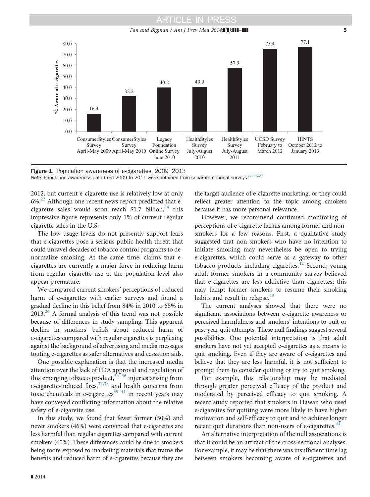Tan and Bigman / Am J Prev Med 2014; $I(I):$  $II-III$   $II=$ 

<span id="page-4-0"></span>

Figure 1. Population awareness of e-cigarettes, 2009-2013

Note: Population awareness data from 2009 to 2011 were obtained from separate national surveys.<sup>[23](#page-8-0),[26,27](#page-8-0)</sup>

2012, but current e-cigarette use is relatively low at only  $6\%$ <sup>22</sup> Although one recent news report predicted that ecigarette sales would soon reach  $$1.7$  billion,<sup>[34](#page-8-0)</sup> this impressive figure represents only 1% of current regular cigarette sales in the U.S.

The low usage levels do not presently support fears that e-cigarettes pose a serious public health threat that could unravel decades of tobacco control programs to denormalize smoking. At the same time, claims that ecigarettes are currently a major force in reducing harm from regular cigarette use at the population level also appear premature.

We compared current smokers' perceptions of reduced harm of e-cigarettes with earlier surveys and found a gradual decline in this belief from 84% in 2010 to 65% in  $2013.<sup>26</sup>$  $2013.<sup>26</sup>$  $2013.<sup>26</sup>$  A formal analysis of this trend was not possible because of differences in study sampling. This apparent decline in smokers' beliefs about reduced harm of e-cigarettes compared with regular cigarettes is perplexing against the background of advertising and media messages touting e-cigarettes as safer alternatives and cessation aids.

One possible explanation is that the increased media attention over the lack of FDA approval and regulation of this emerging tobacco product,  $34-36$  $34-36$  $34-36$  injuries arising from e-cigarette-induced fires,<sup>[37](#page-8-0),[38](#page-8-0)</sup> and health concerns from toxic chemicals in e-cigarettes $39-41$  $39-41$  $39-41$  in recent years may have conveyed conflicting information about the relative safety of e-cigarette use.

In this study, we found that fewer former (50%) and never smokers (46%) were convinced that e-cigarettes are less harmful than regular cigarettes compared with current smokers (65%). These differences could be due to smokers being more exposed to marketing materials that frame the benefits and reduced harm of e-cigarettes because they are

the target audience of e-cigarette marketing, or they could reflect greater attention to the topic among smokers because it has more personal relevance.

However, we recommend continued monitoring of perceptions of e-cigarette harms among former and nonsmokers for a few reasons. First, a qualitative study suggested that non-smokers who have no intention to initiate smoking may nevertheless be open to trying e-cigarettes, which could serve as a gateway to other tobacco products including cigarettes. $42$  Second, young adult former smokers in a community survey believed that e-cigarettes are less addictive than cigarettes; this may tempt former smokers to resume their smoking habits and result in relapse.<sup>[43](#page-8-0)</sup>

The current analyses showed that there were no significant associations between e-cigarette awareness or perceived harmfulness and smokers' intentions to quit or past-year quit attempts. These null findings suggest several possibilities. One potential interpretation is that adult smokers have not yet accepted e-cigarettes as a means to quit smoking. Even if they are aware of e-cigarettes and believe that they are less harmful, it is not sufficient to prompt them to consider quitting or try to quit smoking.

For example, this relationship may be mediated through greater perceived efficacy of the product and moderated by perceived efficacy to quit smoking. A recent study reported that smokers in Hawaii who used e-cigarettes for quitting were more likely to have higher motivation and self-efficacy to quit and to achieve longer recent quit durations than non-users of e-cigarettes.<sup>[44](#page-8-0)</sup>

An alternative interpretation of the null associations is that it could be an artifact of the cross-sectional analyses. For example, it may be that there was insufficient time lag between smokers becoming aware of e-cigarettes and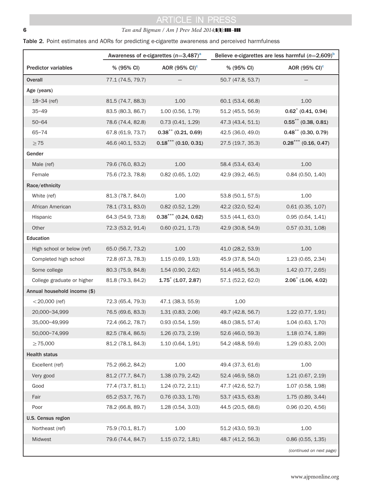## <span id="page-5-0"></span>**6** Tan and Bigman / Am J Prev Med 2014;**1(1):111-111**

## Table 2. Point estimates and AORs for predicting e-cigarette awareness and perceived harmfulness

|                              | Awareness of e-cigarettes $(n=3,487)^{a}$ |                           | Believe e-cigarettes are less harmful $(n=2,609)^b$ |                                   |  |  |
|------------------------------|-------------------------------------------|---------------------------|-----------------------------------------------------|-----------------------------------|--|--|
| <b>Predictor variables</b>   | % (95% CI)                                | AOR (95% CI) <sup>c</sup> | % (95% CI)                                          | AOR (95% CI) <sup>c</sup>         |  |  |
| <b>Overall</b>               | 77.1 (74.5, 79.7)                         |                           | 50.7 (47.8, 53.7)                                   |                                   |  |  |
| Age (years)                  |                                           |                           |                                                     |                                   |  |  |
| $18 - 34$ (ref)              | 81.5 (74.7, 88.3)                         | 1.00                      | 60.1 (53.4, 66.8)                                   | 1.00                              |  |  |
| $35 - 49$                    | 83.5 (80.3, 86.7)                         | 1.00(0.56, 1.79)          | 51.2 (45.5, 56.9)                                   | $0.62^*$ (0.41, 0.94)             |  |  |
| $50 - 64$                    | 78.6 (74.4, 82.8)                         | 0.73(0.41, 1.29)          | 47.3 (43.4, 51.1)                                   | $0.55^{**}$ (0.38, 0.81)          |  |  |
| $65 - 74$                    | 67.8 (61.9, 73.7)                         | $0.38$ ** (0.21, 0.69)    | 42.5 (36.0, 49.0)                                   | $0.48$ <sup>**</sup> (0.30, 0.79) |  |  |
| $\geq$ 75                    | 46.6 (40.1, 53.2)                         | $0.18***$ (0.10, 0.31)    | 27.5 (19.7, 35.3)                                   | $0.28***$ (0.16, 0.47)            |  |  |
| Gender                       |                                           |                           |                                                     |                                   |  |  |
| Male (ref)                   | 79.6 (76.0, 83.2)                         | 1.00                      | 58.4 (53.4, 63.4)                                   | 1.00                              |  |  |
| Female                       | 75.6 (72.3, 78.8)                         | 0.82(0.65, 1.02)          | 42.9 (39.2, 46.5)                                   | 0.84(0.50, 1.40)                  |  |  |
| Race/ethnicity               |                                           |                           |                                                     |                                   |  |  |
| White (ref)                  | 81.3 (78.7, 84.0)                         | 1.00                      | 53.8 (50.1, 57.5)                                   | 1.00                              |  |  |
| African American             | 78.1 (73.1, 83.0)                         | 0.82(0.52, 1.29)          | 42.2 (32.0, 52.4)                                   | 0.61(0.35, 1.07)                  |  |  |
| Hispanic                     | 64.3 (54.9, 73.8)                         | $0.38***$ (0.24, 0.62)    | 53.5 (44.1, 63.0)                                   | 0.95(0.64, 1.41)                  |  |  |
| Other                        | 72.3 (53.2, 91.4)                         | 0.60(0.21, 1.73)          | 42.9 (30.8, 54.9)                                   | 0.57(0.31, 1.08)                  |  |  |
| Education                    |                                           |                           |                                                     |                                   |  |  |
| High school or below (ref)   | 65.0 (56.7, 73.2)                         | 1.00                      | 41.0 (28.2, 53.9)                                   | 1.00                              |  |  |
| Completed high school        | 72.8 (67.3, 78.3)                         | 1.15(0.69, 1.93)          | 45.9 (37.8, 54.0)                                   | 1.23(0.65, 2.34)                  |  |  |
| Some college                 | 80.3 (75.9, 84.8)                         | 1.54 (0.90, 2.62)         | 51.4 (46.5, 56.3)                                   | 1.42 (0.77, 2.65)                 |  |  |
| College graduate or higher   | 81.8 (79.3, 84.2)                         | $1.75$ (1.07, 2.87)       | 57.1 (52.2, 62.0)                                   | $2.06^*$ (1.06, 4.02)             |  |  |
| Annual household income (\$) |                                           |                           |                                                     |                                   |  |  |
| $<$ 20,000 (ref)             | 72.3 (65.4, 79.3)                         | 47.1 (38.3, 55.9)         | 1.00                                                |                                   |  |  |
| 20,000-34,999                | 76.5 (69.6, 83.3)                         | 1.31(0.83, 2.06)          | 49.7 (42.8, 56.7)                                   | 1.22(0.77, 1.91)                  |  |  |
| 35,000-49,999                | 72.4 (66.2, 78.7)                         | 0.93(0.54, 1.59)          | 48.0 (38.5, 57.4)                                   | 1.04(0.63, 1.70)                  |  |  |
| 50,000-74,999                | 82.5 (78.4, 86.5)                         | 1.26(0.73, 2.19)          | 52.6 (46.0, 59.3)                                   | 1.18(0.74, 1.89)                  |  |  |
| $\geq$ 75,000                | 81.2 (78.1, 84.3)                         | 1.10(0.64, 1.91)          | 54.2 (48.8, 59.6)                                   | 1.29 (0.83, 2.00)                 |  |  |
| <b>Health status</b>         |                                           |                           |                                                     |                                   |  |  |
| Excellent (ref)              | 75.2 (66.2, 84.2)                         | 1.00                      | 49.4 (37.3, 61.6)                                   | $1.00\,$                          |  |  |
| Very good                    | 81.2 (77.7, 84.7)                         | 1.38 (0.79, 2.42)         | 52.4 (46.9, 58.0)                                   | 1.21(0.67, 2.19)                  |  |  |
| Good                         | 77.4 (73.7, 81.1)                         | 1.24(0.72, 2.11)          | 47.7 (42.6, 52.7)                                   | 1.07 (0.58, 1.98)                 |  |  |
| Fair                         | 65.2 (53.7, 76.7)                         | 0.76(0.33, 1.76)          | 53.7 (43.5, 63.8)                                   | 1.75(0.89, 3.44)                  |  |  |
| Poor                         | 78.2 (66.8, 89.7)                         | 1.28(0.54, 3.03)          | 44.5 (20.5, 68.6)                                   | 0.96 (0.20, 4.56)                 |  |  |
| U.S. Census region           |                                           |                           |                                                     |                                   |  |  |
| Northeast (ref)              | 75.9 (70.1, 81.7)                         | $1.00\,$                  | 51.2 (43.0, 59.3)                                   | $1.00\,$                          |  |  |
| Midwest                      | 79.6 (74.4, 84.7)                         | 1.15(0.72, 1.81)          | 48.7 (41.2, 56.3)                                   | 0.86(0.55, 1.35)                  |  |  |
|                              |                                           |                           |                                                     | (continued on next page)          |  |  |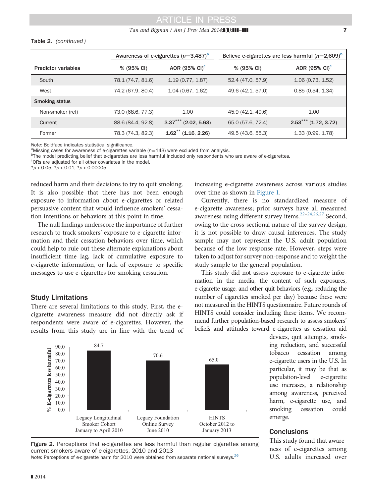## Tan and Bigman / Am J Prev Med 2014; $I(I):III-III$  **7**

## <span id="page-6-0"></span>Table 2. (continued )

|                            | Awareness of e-cigarettes $(n=3,487)^{a}$ |                                   | Believe e-cigarettes are less harmful $(n=2,609)^{\circ}$ |                           |  |  |
|----------------------------|-------------------------------------------|-----------------------------------|-----------------------------------------------------------|---------------------------|--|--|
| <b>Predictor variables</b> | % (95% CI)                                | AOR $(95\% \text{ Cl})^c$         |                                                           | AOR $(95\% \text{ Cl})^c$ |  |  |
| South                      | 78.1 (74.7, 81.6)                         | 1.19(0.77, 1.87)                  | 52.4 (47.0, 57.9)                                         | 1.06(0.73, 1.52)          |  |  |
| West                       | 74.2 (67.9, 80.4)                         | 1.04(0.67, 1.62)                  | 49.6 (42.1, 57.0)                                         | 0.85(0.54, 1.34)          |  |  |
| <b>Smoking status</b>      |                                           |                                   |                                                           |                           |  |  |
| Non-smoker (ref)           | 73.0 (68.6, 77.3)                         | 1.00                              | 45.9 (42.1, 49.6)                                         | 1.00                      |  |  |
| Current                    | 88.6 (84.4, 92.8)                         | $3.37***$ (2.02, 5.63)            | 65.0 (57.6, 72.4)                                         | $2.53***$ (1.72, 3.72)    |  |  |
| Former                     | 78.3 (74.3, 82.3)                         | $1.62$ <sup>**</sup> (1.16, 2.26) | 49.5 (43.6, 55.3)                                         | 1.33(0.99, 1.78)          |  |  |

Note: Boldface indicates statistical significance.

<sup>a</sup>Missing cases for awareness of e-cigarettes variable ( $n=143$ ) were excluded from analysis.

 $b$ The model predicting belief that e-cigarettes are less harmful included only respondents who are aware of e-cigarettes.

<sup>c</sup>ORs are adjusted for all other covariates in the model.

 $*p<0.05, *p<0.01, *p<0.00005$ 

reduced harm and their decisions to try to quit smoking. It is also possible that there has not been enough exposure to information about e-cigarettes or related persuasive content that would influence smokers' cessation intentions or behaviors at this point in time.

The null findings underscore the importance of further research to track smokers' exposure to e-cigarette information and their cessation behaviors over time, which could help to rule out these alternate explanations about insufficient time lag, lack of cumulative exposure to e-cigarette information, or lack of exposure to specific messages to use e-cigarettes for smoking cessation.

## Study Limitations

There are several limitations to this study. First, the ecigarette awareness measure did not directly ask if respondents were aware of e-cigarettes. However, the results from this study are in line with the trend of





increasing e-cigarette awareness across various studies over time as shown in [Figure 1.](#page-4-0)

Currently, there is no standardized measure of e-cigarette awareness; prior surveys have all measured awareness using different survey items.<sup>22-[24](#page-8-0),[26,27](#page-8-0)</sup> Second, owing to the cross-sectional nature of the survey design, it is not possible to draw causal inferences. The study sample may not represent the U.S. adult population because of the low response rate. However, steps were taken to adjust for survey non-response and to weight the study sample to the general population.

This study did not assess exposure to e-cigarette information in the media, the content of such exposures, e-cigarette usage, and other quit behaviors (e.g., reducing the number of cigarettes smoked per day) because these were not measured in the HINTS questionnaire. Future rounds of HINTS could consider including these items. We recommend further population-based research to assess smokers' beliefs and attitudes toward e-cigarettes as cessation aid

> devices, quit attempts, smoking reduction, and successful tobacco cessation among e-cigarette users in the U.S. In particular, it may be that as population-level e-cigarette use increases, a relationship among awareness, perceived harm, e-cigarette use, and smoking cessation could emerge.

## **Conclusions**

This study found that awareness of e-cigarettes among U.S. adults increased over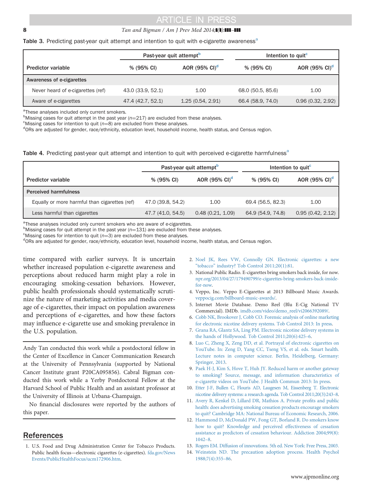#### <span id="page-7-0"></span>8 Tan and Bigman / Am J Prev Med 2014;**[(]**):**[11]**

#### Table 3. Predicting past-year quit attempt and intention to quit with e-cigarette awareness<sup>a</sup>

|                                   | Past-year quit attempt <sup>b</sup>     |                  | Intention to quit <sup>c</sup> |                           |  |  |
|-----------------------------------|-----------------------------------------|------------------|--------------------------------|---------------------------|--|--|
| <b>Predictor variable</b>         | AOR (95% CI) <sup>a</sup><br>% (95% CI) |                  | % (95% CI)                     | AOR $(95\% \text{ Cl})^d$ |  |  |
| Awareness of e-cigarettes         |                                         |                  |                                |                           |  |  |
| Never heard of e-cigarettes (ref) | 43.0 (33.9, 52.1)                       | 1.00             | 68.0 (50.5, 85.6)              | 1.00                      |  |  |
| Aware of e-cigarettes             | 47.4 (42.7, 52.1)                       | 1.25(0.54, 2.91) | 66.4 (58.9, 74.0)              | 0.96(0.32, 2.92)          |  |  |

<sup>a</sup>These analyses included only current smokers.

<sup>b</sup>Missing cases for quit attempt in the past year ( $n=217$ ) are excluded from these analyses.

<sup>c</sup>Missing cases for intention to quit ( $n=8$ ) are excluded from these analyses.

<sup>d</sup>ORs are adjusted for gender, race/ethnicity, education level, household income, health status, and Census region.

|  |  |  |  |  | Table 4. Predicting past-year quit attempt and intention to quit with perceived e-cigarette harmfulness <sup>a</sup> |
|--|--|--|--|--|----------------------------------------------------------------------------------------------------------------------|
|  |  |  |  |  |                                                                                                                      |

|                                               | Past-year quit attempt <sup>b</sup> |                           | Intention to quit <sup>c</sup> |                           |  |
|-----------------------------------------------|-------------------------------------|---------------------------|--------------------------------|---------------------------|--|
| <b>Predictor variable</b>                     | % (95% CI)                          | AOR (95% CI) <sup>d</sup> | % (95% CI)                     | AOR (95% CI) <sup>d</sup> |  |
| <b>Perceived harmfulness</b>                  |                                     |                           |                                |                           |  |
| Equally or more harmful than cigarettes (ref) | 47.0 (39.8, 54.2)                   | 1.00                      | 69.4 (56.5, 82.3)              | 1.00                      |  |
| Less harmful than cigarettes                  | 47.7 (41.0, 54.5)                   | 0.48(0.21, 1.09)          | 64.9 (54.9, 74.8)              | 0.95(0.42, 2.12)          |  |

<sup>a</sup>These analyses included only current smokers who are aware of e-cigarettes.

<sup>b</sup>Missing cases for quit attempt in the past year ( $n=131$ ) are excluded from these analyses.

<sup>c</sup>Missing cases for intention to quit ( $n=3$ ) are excluded from these analyses.

<sup>d</sup>ORs are adjusted for gender, race/ethnicity, education level, household income, health status, and Census region.

time compared with earlier surveys. It is uncertain whether increased population e-cigarette awareness and perceptions about reduced harm might play a role in encouraging smoking-cessation behaviors. However, public health professionals should systematically scrutinize the nature of marketing activities and media coverage of e-cigarettes, their impact on population awareness and perceptions of e-cigarettes, and how these factors may influence e-cigarette use and smoking prevalence in the U.S. population.

Andy Tan conducted this work while a postdoctoral fellow in the Center of Excellence in Cancer Communication Research at the University of Pennsylvania (supported by National Cancer Institute grant P20CA095856). Cabral Bigman conducted this work while a Yerby Postdoctoral Fellow at the Harvard School of Public Health and an assistant professor at the University of Illinois at Urbana-Champaign.

No financial disclosures were reported by the authors of this paper.

## References

1. U.S. Food and Drug Administration Center for Tobacco Products. Public health focus—electronic cigarettes (e-cigarettes). [fda.gov/News](fda.gov/NewsEvents/PublicHealthFocus/ucm172906.htm) [Events/PublicHealthFocus/ucm172906.htm.](fda.gov/NewsEvents/PublicHealthFocus/ucm172906.htm)

- 2. [Noel JK, Rees VW, Connolly GN. Electronic cigarettes: a new](http://refhub.elsevier.com/S0749-3797(14)00107-X/sbref1) "tobacco" [industry? Tob Control 2011;20\(1\):81.](http://refhub.elsevier.com/S0749-3797(14)00107-X/sbref1)
- 3. National Public Radio. E-cigarettes bring smokers back inside, for now. [npr.org/2013/04/27/179490799/e-cigarettes-bring-smokers-back-inside](npr.org/2013/04/27/179490799/e-cigarettes-bring-smokers-back-inside-for-now)[for-now.](npr.org/2013/04/27/179490799/e-cigarettes-bring-smokers-back-inside-for-now)
- 4. Veppo, Inc. Veppo E-Cigarettes at 2013 Billboard Music Awards. <veppocig.com/billboard-music-awards/>.
- 5. Internet Movie Database. Demo Reel (Blu E-Cig National TV Commercial). IMDb. [imdb.com/video/demo\\_reel/vi2066392089/.](imdb.com/video/demo_reel/vi2066392089/)
- 6. [Cobb NK, Brookover J, Cobb CO. Forensic analysis of online marketing](http://refhub.elsevier.com/S0749-3797(14)00107-X/sbref2) [for electronic nicotine delivery systems. Tob Control 2013: In press.](http://refhub.elsevier.com/S0749-3797(14)00107-X/sbref2)
- 7. [Grana RA, Glantz SA, Ling PM. Electronic nicotine delivery systems in](http://refhub.elsevier.com/S0749-3797(14)00107-X/sbref3) [the hands of Hollywood. Tob Control 2011;20\(6\):425](http://refhub.elsevier.com/S0749-3797(14)00107-X/sbref3)–6.
- 8. [Luo C, Zheng X, Zeng DD, et al. Portrayal of electronic cigarettes on](http://refhub.elsevier.com/S0749-3797(14)00107-X/sbref4) [YouTube. In: Zeng D, Yang CC, Tseng VS, et al. eds. Smart health.](http://refhub.elsevier.com/S0749-3797(14)00107-X/sbref4) [Lecture notes in computer science. Berlin, Heidelberg, Germany:](http://refhub.elsevier.com/S0749-3797(14)00107-X/sbref4) [Springer, 2013.](http://refhub.elsevier.com/S0749-3797(14)00107-X/sbref4)
- 9. [Paek H-J, Kim S, Hove T, Huh JY. Reduced harm or another gateway](http://refhub.elsevier.com/S0749-3797(14)00107-X/sbref5) [to smoking? Source, message, and information characteristics of](http://refhub.elsevier.com/S0749-3797(14)00107-X/sbref5) [e-cigarette videos on YouTube. J Health Commun 2013: In press.](http://refhub.elsevier.com/S0749-3797(14)00107-X/sbref5)
- 10. [Etter J-F, Bullen C, Flouris AD, Laugesen M, Eissenberg T. Electronic](http://refhub.elsevier.com/S0749-3797(14)00107-X/sbref6) [nicotine delivery systems: a research agenda. Tob Control 2011;20\(3\):243](http://refhub.elsevier.com/S0749-3797(14)00107-X/sbref6)–8.
- 11. [Avery R, Kenkel D, Lillard DR, Mathios A. Private pro](http://refhub.elsevier.com/S0749-3797(14)00107-X/sbref7)fits and public [health: does advertising smoking cessation products encourage smokers](http://refhub.elsevier.com/S0749-3797(14)00107-X/sbref7) [to quit? Cambridge MA: National Bureau of Economic Research, 2006.](http://refhub.elsevier.com/S0749-3797(14)00107-X/sbref7)
- 12. [Hammond D, McDonald PW, Fong GT, Borland R. Do smokers know](http://refhub.elsevier.com/S0749-3797(14)00107-X/sbref8) [how to quit? Knowledge and perceived effectiveness of cessation](http://refhub.elsevier.com/S0749-3797(14)00107-X/sbref8) [assistance as predictors of cessation behaviour. Addiction 2004;99\(8\):](http://refhub.elsevier.com/S0749-3797(14)00107-X/sbref8) [1042](http://refhub.elsevier.com/S0749-3797(14)00107-X/sbref8)–8.
- 13. [Rogers EM. Diffusion of innovations. 5th ed. New York: Free Press, 2003.](http://refhub.elsevier.com/S0749-3797(14)00107-X/sbref9)
- 14. [Weinstein ND. The precaution adoption process. Health Psychol](http://refhub.elsevier.com/S0749-3797(14)00107-X/sbref10) [1988;7\(4\):355](http://refhub.elsevier.com/S0749-3797(14)00107-X/sbref10)–86.